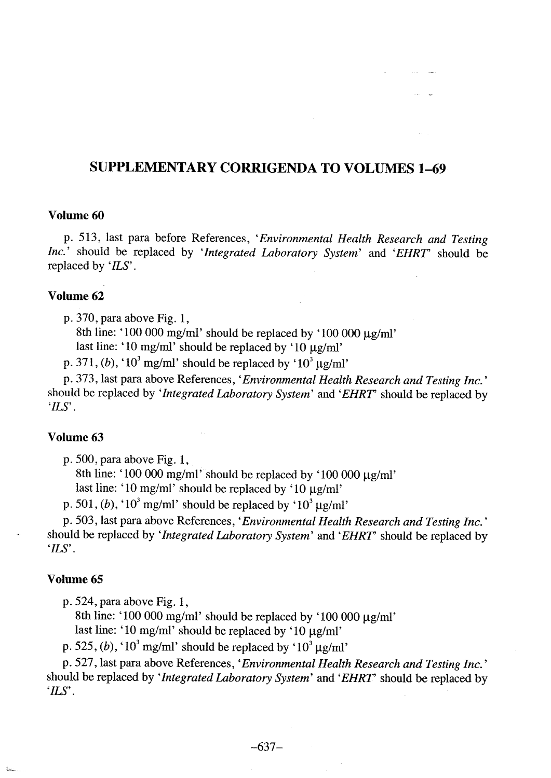# SUPPLEMENTARY CORRIGENDA TO VOLUMES 1-69

#### Volume 60

p. 513, last para before References, 'Environmental Health Research and Testing Inc.' should be replaced by 'Integrated Laboratory System' and 'EHRT' should be replaced by 'ILS'.

#### Volume 62

p. 370, para above Fig. 1,

8th line: '100 000 mg/ml' should be replaced by '100 000  $\mu$ g/ml'

last line: '10 mg/ml' should be replaced by '10  $\mu$ g/ml'

p. 371, (b), '10<sup>3</sup> mg/ml' should be replaced by '10<sup>3</sup> µg/ml'

p. 373, last para above References, 'Environmental Health Research and Testing Inc.' should be replaced by 'Integrated Laboratory System' and 'EHRT' should be replaced by 'ILS'.

#### Volume 63

p. 500, para above Fig. 1,

8th line: '100 000 mg/ml' should be replaced by '100 000  $\mu$ g/ml'

last line: '10 mg/ml' should be replaced by '10  $\mu$ g/ml'

p. 501, (b), '10<sup>3</sup> mg/ml' should be replaced by '10<sup>3</sup>  $\mu$ g/ml'

p. 503, last para above References, 'Environmental Health Research and Testing Inc.' should be replaced by 'Integrated Laboratory System' and 'EHRT' should be replaced by 'ILS'.

#### Volume 65

p. 524, para above Fig. 1,

8th line: '100 000 mg/ml' should be replaced by '100 000  $\mu$ g/ml' last line: '10 mg/ml' should be replaced by '10  $\mu$ g/ml'

p. 525, (b), ' $10^3$  mg/ml' should be replaced by ' $10^3 \mu$ g/ml'

p. 527, last para above References, 'Environmental Health Research and Testing Inc.' should be replaced by 'Integrated Laboratory System' and 'EHRT' should be replaced by 'ILS'.

 $-637-$